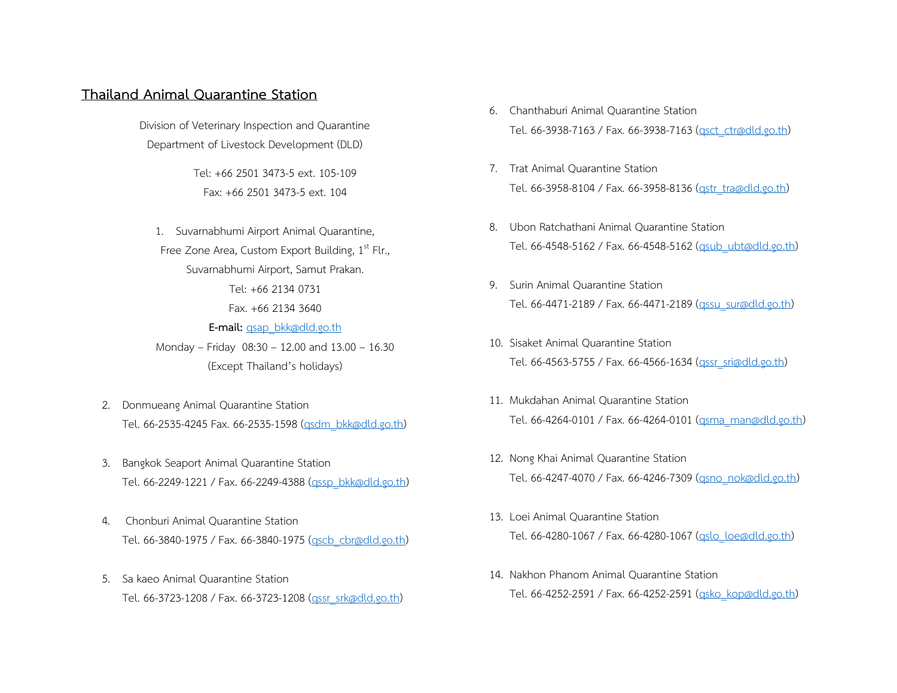## **Thailand Animal Quarantine Station**

Division of Veterinary Inspection and Quarantine Department of Livestock Development (DLD)

> Tel: +66 2501 3473-5 ext. 105-109 Fax: +66 2501 3473-5 ext. 104

1. Suvarnabhumi Airport Animal Quarantine, Free Zone Area, Custom Export Building,  $1<sup>st</sup>$  Flr., Suvarnabhumi Airport, Samut Prakan. Tel: +66 2134 0731 Fax. +66 2134 3640 **E-mail:** [qsap\\_bkk@dld.go.th](mailto:qsap_bkk@dld.go.th) Monday – Friday 08:30 – 12.00 and 13.00 – 16.30 (Except Thailand's holidays)

- 2. Donmueang Animal Quarantine Station Tel. 66-2535-4245 Fax. 66-2535-1598 [\(qsdm\\_bkk@dld.go.th\)](mailto:qsdm_bkk@dld.go.th)
- 3. Bangkok Seaport Animal Quarantine Station Tel. 66-2249-1221 / Fax. 66-2249-4388 (assp\_bkk@dld.go.th)
- 4. Chonburi Animal Quarantine Station Tel. 66-3840-1975 / Fax. 66-3840-1975 (ascb\_cbr@dld.go.th)
- 5. Sa kaeo Animal Quarantine Station Tel. 66-3723-1208 / Fax. 66-3723-1208 [\(qssr\\_srk@dld.go.th\)](mailto:qssr_srk@dld.go.th)
- 6. Chanthaburi Animal Quarantine Station Tel. 66-3938-7163 / Fax. 66-3938-7163 [\(qsct\\_ctr@dld.go.th\)](mailto:qsct_ctr@dld.go.th)
- 7. Trat Animal Quarantine Station Tel. 66-3958-8104 / Fax. 66-3958-8136 (astr\_tra@dld.go.th)
- 8. Ubon Ratchathani Animal Quarantine Station Tel. 66-4548-5162 / Fax. 66-4548-5162 [\(qsub\\_ubt@dld.go.th\)](mailto:qsub_ubt@dld.go.th)
- 9. Surin Animal Quarantine Station Tel. 66-4471-2189 / Fax. 66-4471-2189 [\(qssu\\_sur@dld.go.th\)](mailto:qssu_sur@dld.go.th)
- 10. Sisaket Animal Quarantine Station Tel. 66-4563-5755 / Fax. 66-4566-1634 [\(qssr\\_sri@dld.go.th\)](mailto:qssr_sri@dld.go.th)
- 11. Mukdahan Animal Quarantine Station Tel. 66-4264-0101 / Fax. 66-4264-0101 [\(qsma\\_man@dld.go.th\)](mailto:qsma_man@dld.go.th)
- 12. Nong Khai Animal Quarantine Station Tel. 66-4247-4070 / Fax. 66-4246-7309 (asno\_nok@dld.go.th)
- 13. Loei Animal Quarantine Station Tel. 66-4280-1067 / Fax. 66-4280-1067 [\(qslo\\_loe@dld.go.th\)](mailto:qslo_loe@dld.go.th)
- 14. Nakhon Phanom Animal Quarantine Station Tel. 66-4252-2591 / Fax. 66-4252-2591 [\(qsko\\_kop@dld.go.th\)](mailto:qsko_kop@dld.go.th)